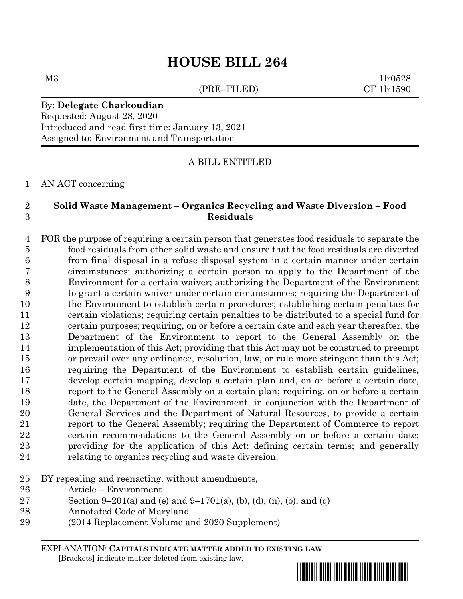# **HOUSE BILL 264**

(PRE–FILED) CF 1lr1590

 $M3$  1lr0528

## By: **Delegate Charkoudian**

Requested: August 28, 2020 Introduced and read first time: January 13, 2021 Assigned to: Environment and Transportation

A BILL ENTITLED

### AN ACT concerning

## **Solid Waste Management – Organics Recycling and Waste Diversion – Food Residuals**

 FOR the purpose of requiring a certain person that generates food residuals to separate the food residuals from other solid waste and ensure that the food residuals are diverted from final disposal in a refuse disposal system in a certain manner under certain circumstances; authorizing a certain person to apply to the Department of the Environment for a certain waiver; authorizing the Department of the Environment to grant a certain waiver under certain circumstances; requiring the Department of the Environment to establish certain procedures; establishing certain penalties for certain violations; requiring certain penalties to be distributed to a special fund for certain purposes; requiring, on or before a certain date and each year thereafter, the Department of the Environment to report to the General Assembly on the implementation of this Act; providing that this Act may not be construed to preempt or prevail over any ordinance, resolution, law, or rule more stringent than this Act; requiring the Department of the Environment to establish certain guidelines, develop certain mapping, develop a certain plan and, on or before a certain date, report to the General Assembly on a certain plan; requiring, on or before a certain date, the Department of the Environment, in conjunction with the Department of General Services and the Department of Natural Resources, to provide a certain report to the General Assembly; requiring the Department of Commerce to report certain recommendations to the General Assembly on or before a certain date; providing for the application of this Act; defining certain terms; and generally relating to organics recycling and waste diversion.

BY repealing and reenacting, without amendments,

- Article Environment
- 27 Section 9–201(a) and (e) and 9–1701(a), (b), (d), (n), (o), and (q)
- Annotated Code of Maryland
- (2014 Replacement Volume and 2020 Supplement)

EXPLANATION: **CAPITALS INDICATE MATTER ADDED TO EXISTING LAW**.  **[**Brackets**]** indicate matter deleted from existing law.

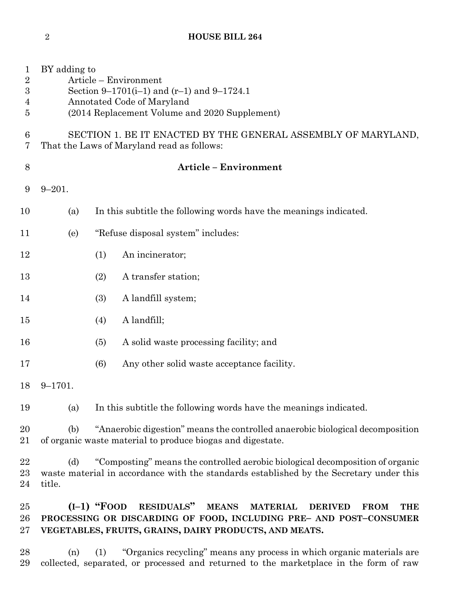## **HOUSE BILL 264**

| 1<br>$\boldsymbol{2}$<br>$\boldsymbol{3}$<br>$\overline{4}$<br>5 | BY adding to<br>Article - Environment<br>Section 9–1701(i–1) and $(r-1)$ and 9–1724.1<br>Annotated Code of Maryland<br>(2014 Replacement Volume and 2020 Supplement)                                                                          |                                                                                                                                                                       |  |
|------------------------------------------------------------------|-----------------------------------------------------------------------------------------------------------------------------------------------------------------------------------------------------------------------------------------------|-----------------------------------------------------------------------------------------------------------------------------------------------------------------------|--|
| 6<br>7                                                           | SECTION 1. BE IT ENACTED BY THE GENERAL ASSEMBLY OF MARYLAND,<br>That the Laws of Maryland read as follows:                                                                                                                                   |                                                                                                                                                                       |  |
| 8                                                                |                                                                                                                                                                                                                                               | <b>Article - Environment</b>                                                                                                                                          |  |
| 9                                                                | $9 - 201.$                                                                                                                                                                                                                                    |                                                                                                                                                                       |  |
| 10                                                               | (a)                                                                                                                                                                                                                                           | In this subtitle the following words have the meanings indicated.                                                                                                     |  |
| 11                                                               | (e)                                                                                                                                                                                                                                           | "Refuse disposal system" includes:                                                                                                                                    |  |
| 12                                                               |                                                                                                                                                                                                                                               | (1)<br>An incinerator;                                                                                                                                                |  |
| 13                                                               |                                                                                                                                                                                                                                               | A transfer station;<br>(2)                                                                                                                                            |  |
| 14                                                               |                                                                                                                                                                                                                                               | (3)<br>A landfill system;                                                                                                                                             |  |
| 15                                                               |                                                                                                                                                                                                                                               | A landfill;<br>(4)                                                                                                                                                    |  |
| 16                                                               |                                                                                                                                                                                                                                               | A solid waste processing facility; and<br>(5)                                                                                                                         |  |
| 17                                                               |                                                                                                                                                                                                                                               | (6)<br>Any other solid waste acceptance facility.                                                                                                                     |  |
| 18                                                               | $9 - 1701.$                                                                                                                                                                                                                                   |                                                                                                                                                                       |  |
| 19                                                               | (a)                                                                                                                                                                                                                                           | In this subtitle the following words have the meanings indicated.                                                                                                     |  |
| 20<br>21                                                         | (b)                                                                                                                                                                                                                                           | "Anaerobic digestion" means the controlled anaerobic biological decomposition<br>of organic waste material to produce biogas and digestate.                           |  |
| 22<br>23<br>24                                                   | "Composting" means the controlled aerobic biological decomposition of organic<br>(d)<br>waste material in accordance with the standards established by the Secretary under this<br>title.                                                     |                                                                                                                                                                       |  |
| 25<br>26<br>27                                                   | $(I-1)$ "FOOD<br>RESIDUALS"<br><b>MEANS</b><br><b>MATERIAL</b><br><b>DERIVED</b><br><b>THE</b><br><b>FROM</b><br>PROCESSING OR DISCARDING OF FOOD, INCLUDING PRE- AND POST-CONSUMER<br>VEGETABLES, FRUITS, GRAINS, DAIRY PRODUCTS, AND MEATS. |                                                                                                                                                                       |  |
| 28<br>29                                                         | (n)                                                                                                                                                                                                                                           | "Organics recycling" means any process in which organic materials are<br>(1)<br>collected, separated, or processed and returned to the marketplace in the form of raw |  |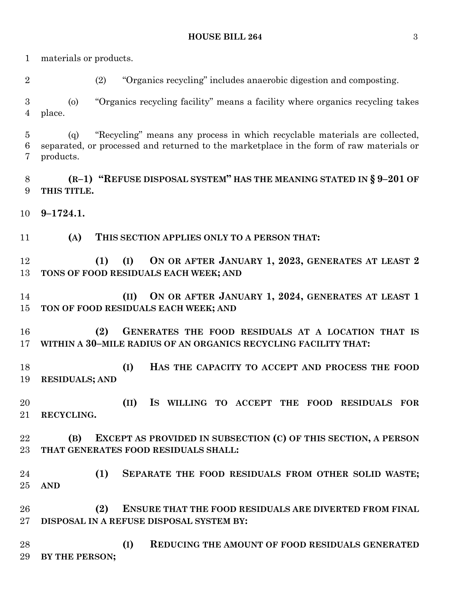materials or products.

(2) "Organics recycling" includes anaerobic digestion and composting.

 (o) "Organics recycling facility" means a facility where organics recycling takes place.

 (q) "Recycling" means any process in which recyclable materials are collected, separated, or processed and returned to the marketplace in the form of raw materials or products.

 **(R–1) "REFUSE DISPOSAL SYSTEM" HAS THE MEANING STATED IN § 9–201 OF THIS TITLE.**

**9–1724.1.**

**(A) THIS SECTION APPLIES ONLY TO A PERSON THAT:**

 **(1) (I) ON OR AFTER JANUARY 1, 2023, GENERATES AT LEAST 2 TONS OF FOOD RESIDUALS EACH WEEK; AND**

 **(II) ON OR AFTER JANUARY 1, 2024, GENERATES AT LEAST 1 TON OF FOOD RESIDUALS EACH WEEK; AND**

 **(2) GENERATES THE FOOD RESIDUALS AT A LOCATION THAT IS WITHIN A 30–MILE RADIUS OF AN ORGANICS RECYCLING FACILITY THAT:**

 **(I) HAS THE CAPACITY TO ACCEPT AND PROCESS THE FOOD RESIDUALS; AND**

 **(II) IS WILLING TO ACCEPT THE FOOD RESIDUALS FOR RECYCLING.**

 **(B) EXCEPT AS PROVIDED IN SUBSECTION (C) OF THIS SECTION, A PERSON THAT GENERATES FOOD RESIDUALS SHALL:**

 **(1) SEPARATE THE FOOD RESIDUALS FROM OTHER SOLID WASTE; AND**

 **(2) ENSURE THAT THE FOOD RESIDUALS ARE DIVERTED FROM FINAL DISPOSAL IN A REFUSE DISPOSAL SYSTEM BY:**

 **(I) REDUCING THE AMOUNT OF FOOD RESIDUALS GENERATED BY THE PERSON;**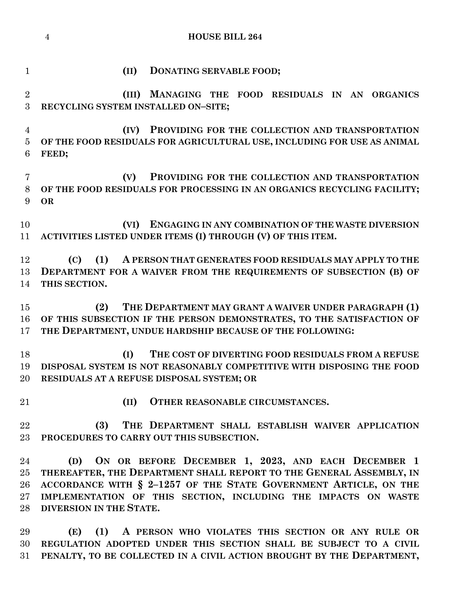**(II) DONATING SERVABLE FOOD; (III) MANAGING THE FOOD RESIDUALS IN AN ORGANICS RECYCLING SYSTEM INSTALLED ON–SITE; (IV) PROVIDING FOR THE COLLECTION AND TRANSPORTATION OF THE FOOD RESIDUALS FOR AGRICULTURAL USE, INCLUDING FOR USE AS ANIMAL FEED; (V) PROVIDING FOR THE COLLECTION AND TRANSPORTATION OF THE FOOD RESIDUALS FOR PROCESSING IN AN ORGANICS RECYCLING FACILITY; OR (VI) ENGAGING IN ANY COMBINATION OF THE WASTE DIVERSION ACTIVITIES LISTED UNDER ITEMS (I) THROUGH (V) OF THIS ITEM. (C) (1) A PERSON THAT GENERATES FOOD RESIDUALS MAY APPLY TO THE DEPARTMENT FOR A WAIVER FROM THE REQUIREMENTS OF SUBSECTION (B) OF THIS SECTION. (2) THE DEPARTMENT MAY GRANT A WAIVER UNDER PARAGRAPH (1) OF THIS SUBSECTION IF THE PERSON DEMONSTRATES, TO THE SATISFACTION OF THE DEPARTMENT, UNDUE HARDSHIP BECAUSE OF THE FOLLOWING: (I) THE COST OF DIVERTING FOOD RESIDUALS FROM A REFUSE DISPOSAL SYSTEM IS NOT REASONABLY COMPETITIVE WITH DISPOSING THE FOOD RESIDUALS AT A REFUSE DISPOSAL SYSTEM; OR (II) OTHER REASONABLE CIRCUMSTANCES. (3) THE DEPARTMENT SHALL ESTABLISH WAIVER APPLICATION PROCEDURES TO CARRY OUT THIS SUBSECTION. (D) ON OR BEFORE DECEMBER 1, 2023, AND EACH DECEMBER 1 THEREAFTER, THE DEPARTMENT SHALL REPORT TO THE GENERAL ASSEMBLY, IN ACCORDANCE WITH § 2–1257 OF THE STATE GOVERNMENT ARTICLE, ON THE IMPLEMENTATION OF THIS SECTION, INCLUDING THE IMPACTS ON WASTE DIVERSION IN THE STATE.**

**HOUSE BILL 264**

 **(E) (1) A PERSON WHO VIOLATES THIS SECTION OR ANY RULE OR REGULATION ADOPTED UNDER THIS SECTION SHALL BE SUBJECT TO A CIVIL PENALTY, TO BE COLLECTED IN A CIVIL ACTION BROUGHT BY THE DEPARTMENT,**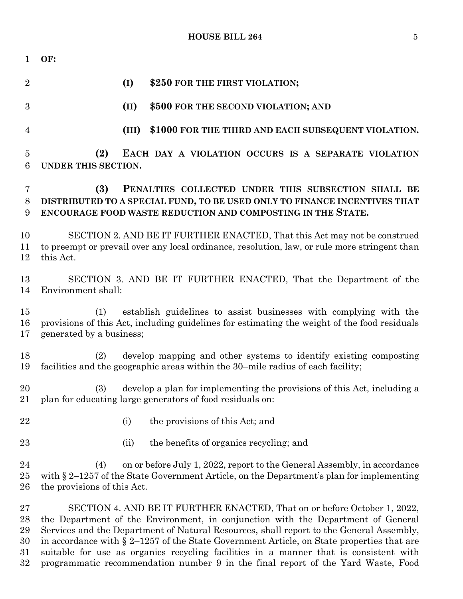#### **HOUSE BILL 264** 5

 **OF: (I) \$250 FOR THE FIRST VIOLATION; (II) \$500 FOR THE SECOND VIOLATION; AND (III) \$1000 FOR THE THIRD AND EACH SUBSEQUENT VIOLATION. (2) EACH DAY A VIOLATION OCCURS IS A SEPARATE VIOLATION UNDER THIS SECTION. (3) PENALTIES COLLECTED UNDER THIS SUBSECTION SHALL BE DISTRIBUTED TO A SPECIAL FUND, TO BE USED ONLY TO FINANCE INCENTIVES THAT ENCOURAGE FOOD WASTE REDUCTION AND COMPOSTING IN THE STATE.** SECTION 2. AND BE IT FURTHER ENACTED, That this Act may not be construed to preempt or prevail over any local ordinance, resolution, law, or rule more stringent than this Act. SECTION 3. AND BE IT FURTHER ENACTED, That the Department of the Environment shall: (1) establish guidelines to assist businesses with complying with the provisions of this Act, including guidelines for estimating the weight of the food residuals generated by a business; (2) develop mapping and other systems to identify existing composting facilities and the geographic areas within the 30–mile radius of each facility; (3) develop a plan for implementing the provisions of this Act, including a plan for educating large generators of food residuals on: 22 (i) the provisions of this Act; and (ii) the benefits of organics recycling; and (4) on or before July 1, 2022, report to the General Assembly, in accordance with § 2–1257 of the State Government Article, on the Department's plan for implementing the provisions of this Act. SECTION 4. AND BE IT FURTHER ENACTED, That on or before October 1, 2022, the Department of the Environment, in conjunction with the Department of General Services and the Department of Natural Resources, shall report to the General Assembly, in accordance with § 2–1257 of the State Government Article, on State properties that are suitable for use as organics recycling facilities in a manner that is consistent with programmatic recommendation number 9 in the final report of the Yard Waste, Food